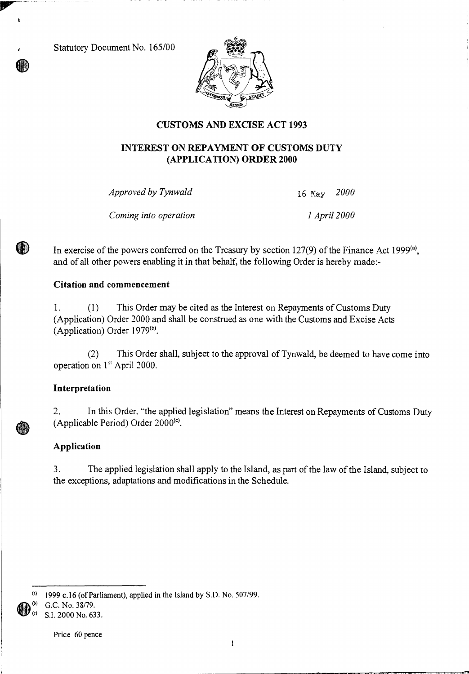Statutory Document No. 165/00



# **CUSTOMS AND EXCISE ACT 1993**

# **INTEREST ON REPAYMENT OF CUSTOMS DUTY (APPLICATION) ORDER 2000**

*Approved by Tynwald* 16 May *2000* 

*Coming into operation 1 April 2000* 

In exercise of the powers conferred on the Treasury by section  $127(9)$  of the Finance Act 1999<sup>(a)</sup>, and of all other powers enabling it in that behalf, the following Order is hereby made:-

## **Citation and commencement**

1. (1) This Order may be cited as the Interest on Repayments of Customs Duty (Application) Order 2000 and shall be construed as one with the Customs and Excise Acts (Application) Order  $1979^{(b)}$ .

(2) This Order shall, subject to the approval of Tynwald, be deemed to have come into operation on 1<sup>st</sup> April 2000.

# **Interpretation**

(W)

2. In this Order. "the applied legislation" means the Interest on Repayments of Customs Duty (Applicable Period) Order  $2000<sup>(c)</sup>$ .

# **Application**

3. The applied legislation shall apply to the Island, as part of the law of the Island, subject to the exceptions, adaptations and modifications in the Schedule.

 $(3)$  1999 c.16 (of Parliament), applied in the Island by S.D. No. 507/99.

(b) G.C. No. 38/79.

S.I. 2000 No. 633.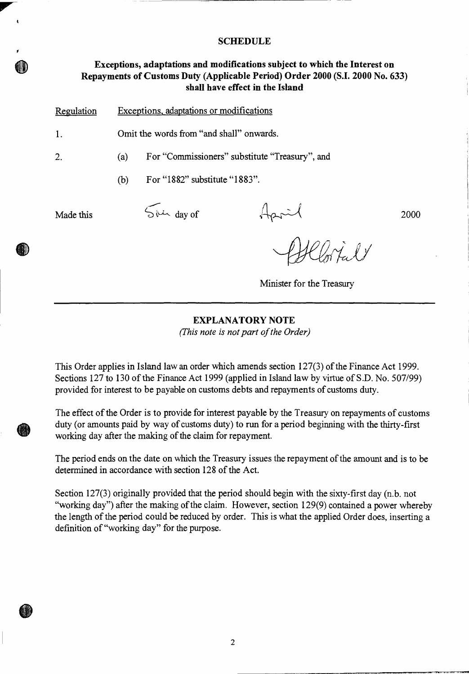### **SCHEDULE**

# **Exceptions, adaptations and modifications subject to which the Interest on Repayments of Customs Duty (Applicable Period) Order 2000 (S.I. 2000 No. 633) shall have effect in the Island**

| Regulation | Exceptions, adaptations or modifications |                                                |                           |      |
|------------|------------------------------------------|------------------------------------------------|---------------------------|------|
| 1.         | Omit the words from "and shall" onwards. |                                                |                           |      |
| 2.         | (a)                                      | For "Commissioners" substitute "Treasury", and |                           |      |
|            | (b)                                      | For "1882" substitute "1883".                  |                           |      |
| Made this  |                                          | $5\mu\Delta$ day of                            |                           | 2000 |
|            |                                          |                                                | $\gamma_{\alpha}$ l y     |      |
|            |                                          |                                                | Minister for the Treasury |      |

### **EXPLANATORY NOTE**

*(This note is not part of the Order)* 

This Order applies in Island law an order which amends section 127(3) of the Finance Act 1999. Sections 127 to 130 of the Finance Act 1999 (applied in Island law by virtue of S.D. No. 507/99) provided for interest to be payable on customs debts and repayments of customs duty.

The effect of the Order is to provide for interest payable by the Treasury on repayments of customs duty (or amounts paid by way of customs duty) to run for a period beginning with the thirty-first working day after the making of the claim for repayment.

The period ends on the date on which the Treasury issues the repayment of the amount and is to be determined in accordance with section 128 of the Act.

Section 127(3) originally provided that the period should begin with the sixty-first day (n.b. not "working day") after the making of the claim. However, section 129(9) contained a power whereby the length of the period could be reduced by order. This is what the applied Order does, inserting a definition of "working day" for the purpose.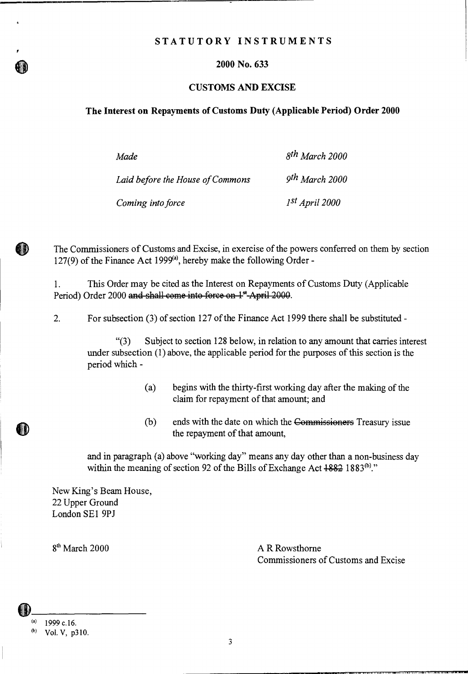### **STATUTORY INSTRUMENTS**

### **2000 No. 633**

#### **CUSTOMS AND EXCISE**

#### **The Interest on Repayments of Customs Duty (Applicable Period) Order 2000**

| Made                             | $8$ <sup>th</sup> March 2000 |
|----------------------------------|------------------------------|
| Laid before the House of Commons | 9 <sup>th</sup> March 2000   |
| Coming into force                | $1^{st}$ April 2000          |

The Commissioners of Customs and Excise, in exercise of the powers conferred on them by section 127(9) of the Finance Act 1999 $(a)$ , hereby make the following Order -

1. This Order may be cited as the Interest on Repayments of Customs Duty (Applicable Period) Order 2000 and shall come into force on 1<sup>st</sup>-April 2000.

2. For subsection (3) of section 127 of the Finance Act 1999 there shall be substituted -

"(3) Subject to section 128 below, in relation to any amount that carries interest under subsection (1) above, the applicable period for the purposes of this section is the period which -

- (a) begins with the thirty-first working day after the making of the claim for repayment of that amount; and
- $(b)$  ends with the date on which the Commissioners Treasury issue the repayment of that amount,

and in paragraph (a) above "working day" means any day other than a non-business day within the meaning of section 92 of the Bills of Exchange Act  $1882$  1883<sup>(b)</sup>."

New King's Beam House, 22 Upper Ground London SE1 9PJ

 $8<sup>th</sup> March 2000$  A R Rowsthorne Commissioners of Customs and Excise

6D